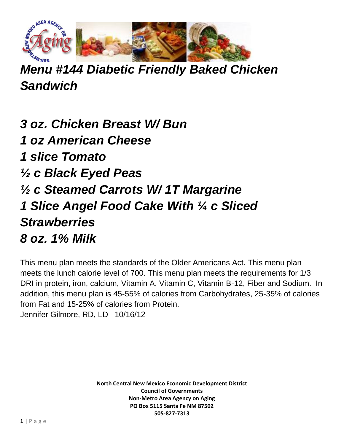

*Menu #144 Diabetic Friendly Baked Chicken Sandwich*

*3 oz. Chicken Breast W/ Bun 1 oz American Cheese 1 slice Tomato ½ c Black Eyed Peas ½ c Steamed Carrots W/ 1T Margarine 1 Slice Angel Food Cake With ¼ c Sliced Strawberries 8 oz. 1% Milk* 

This menu plan meets the standards of the Older Americans Act. This menu plan meets the lunch calorie level of 700. This menu plan meets the requirements for 1/3 DRI in protein, iron, calcium, Vitamin A, Vitamin C, Vitamin B-12, Fiber and Sodium. In addition, this menu plan is 45-55% of calories from Carbohydrates, 25-35% of calories from Fat and 15-25% of calories from Protein. Jennifer Gilmore, RD, LD 10/16/12

> **North Central New Mexico Economic Development District Council of Governments Non-Metro Area Agency on Aging PO Box 5115 Santa Fe NM 87502 505-827-7313**